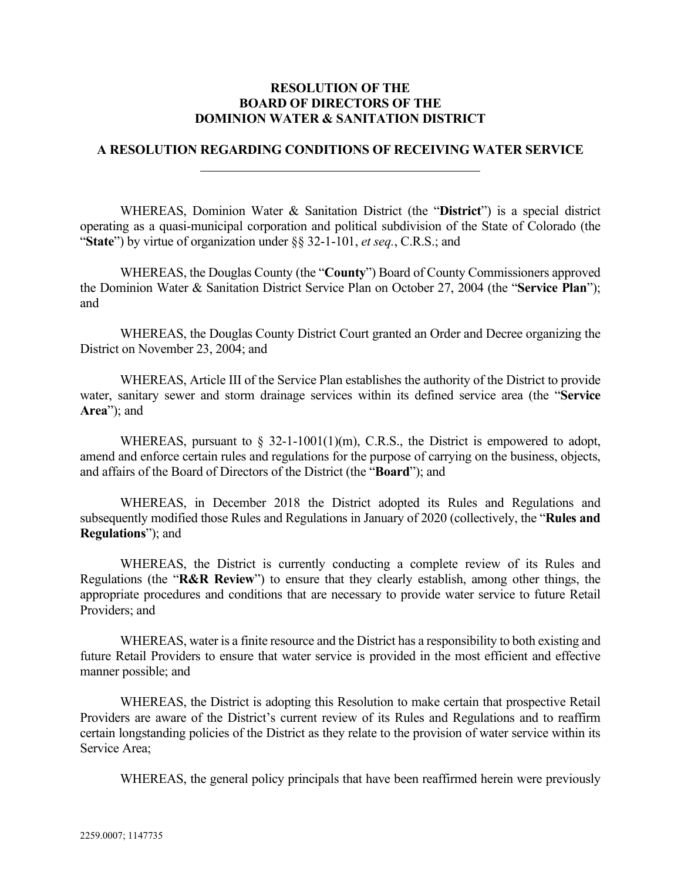## **RESOLUTION OF THE BOARD OF DIRECTORS OF THE DOMINION WATER & SANITATION DISTRICT**

## **A RESOLUTION REGARDING CONDITIONS OF RECEIVING WATER SERVICE**

WHEREAS, Dominion Water & Sanitation District (the "**District**") is a special district operating as a quasi-municipal corporation and political subdivision of the State of Colorado (the "**State**") by virtue of organization under §§ 32-1-101, *et seq.*, C.R.S.; and

WHEREAS, the Douglas County (the "**County**") Board of County Commissioners approved the Dominion Water & Sanitation District Service Plan on October 27, 2004 (the "**Service Plan**"); and

WHEREAS, the Douglas County District Court granted an Order and Decree organizing the District on November 23, 2004; and

WHEREAS, Article III of the Service Plan establishes the authority of the District to provide water, sanitary sewer and storm drainage services within its defined service area (the "**Service Area**"); and

WHEREAS, pursuant to  $\S$  32-1-1001(1)(m), C.R.S., the District is empowered to adopt, amend and enforce certain rules and regulations for the purpose of carrying on the business, objects, and affairs of the Board of Directors of the District (the "**Board**"); and

WHEREAS, in December 2018 the District adopted its Rules and Regulations and subsequently modified those Rules and Regulations in January of 2020 (collectively, the "**Rules and Regulations**"); and

WHEREAS, the District is currently conducting a complete review of its Rules and Regulations (the "**R&R Review**") to ensure that they clearly establish, among other things, the appropriate procedures and conditions that are necessary to provide water service to future Retail Providers; and

WHEREAS, water is a finite resource and the District has a responsibility to both existing and future Retail Providers to ensure that water service is provided in the most efficient and effective manner possible; and

WHEREAS, the District is adopting this Resolution to make certain that prospective Retail Providers are aware of the District's current review of its Rules and Regulations and to reaffirm certain longstanding policies of the District as they relate to the provision of water service within its Service Area;

WHEREAS, the general policy principals that have been reaffirmed herein were previously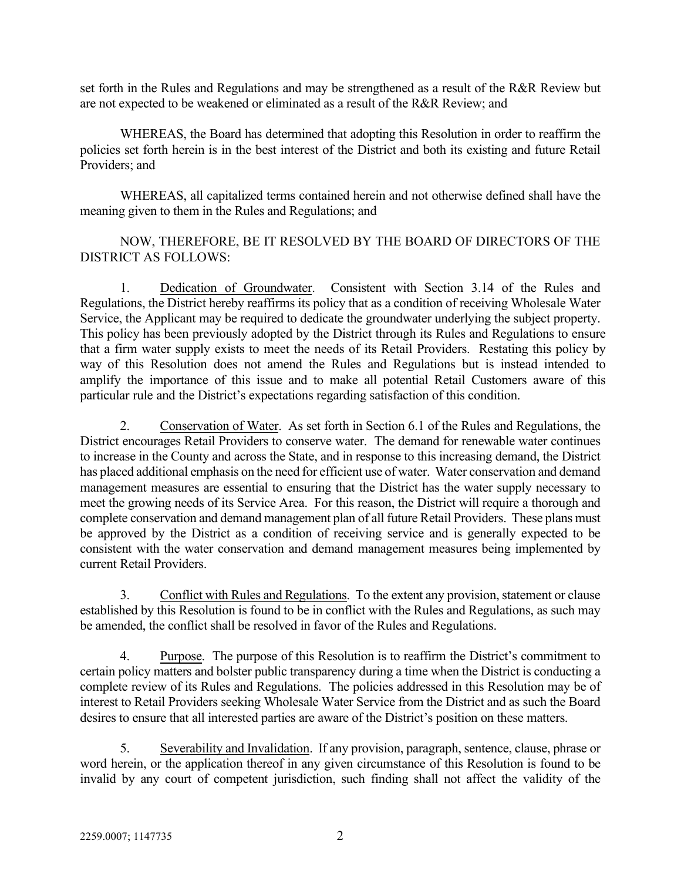set forth in the Rules and Regulations and may be strengthened as a result of the R&R Review but are not expected to be weakened or eliminated as a result of the R&R Review; and

WHEREAS, the Board has determined that adopting this Resolution in order to reaffirm the policies set forth herein is in the best interest of the District and both its existing and future Retail Providers; and

WHEREAS, all capitalized terms contained herein and not otherwise defined shall have the meaning given to them in the Rules and Regulations; and

NOW, THEREFORE, BE IT RESOLVED BY THE BOARD OF DIRECTORS OF THE DISTRICT AS FOLLOWS:

1. Dedication of Groundwater. Consistent with Section 3.14 of the Rules and Regulations, the District hereby reaffirms its policy that as a condition of receiving Wholesale Water Service, the Applicant may be required to dedicate the groundwater underlying the subject property. This policy has been previously adopted by the District through its Rules and Regulations to ensure that a firm water supply exists to meet the needs of its Retail Providers. Restating this policy by way of this Resolution does not amend the Rules and Regulations but is instead intended to amplify the importance of this issue and to make all potential Retail Customers aware of this particular rule and the District's expectations regarding satisfaction of this condition.

2. Conservation of Water. As set forth in Section 6.1 of the Rules and Regulations, the District encourages Retail Providers to conserve water. The demand for renewable water continues to increase in the County and across the State, and in response to this increasing demand, the District has placed additional emphasis on the need for efficient use of water. Water conservation and demand management measures are essential to ensuring that the District has the water supply necessary to meet the growing needs of its Service Area. For this reason, the District will require a thorough and complete conservation and demand management plan of all future Retail Providers. These plans must be approved by the District as a condition of receiving service and is generally expected to be consistent with the water conservation and demand management measures being implemented by current Retail Providers.

3. Conflict with Rules and Regulations. To the extent any provision, statement or clause established by this Resolution is found to be in conflict with the Rules and Regulations, as such may be amended, the conflict shall be resolved in favor of the Rules and Regulations.

4. Purpose. The purpose of this Resolution is to reaffirm the District's commitment to certain policy matters and bolster public transparency during a time when the District is conducting a complete review of its Rules and Regulations. The policies addressed in this Resolution may be of interest to Retail Providers seeking Wholesale Water Service from the District and as such the Board desires to ensure that all interested parties are aware of the District's position on these matters.

5. Severability and Invalidation. If any provision, paragraph, sentence, clause, phrase or word herein, or the application thereof in any given circumstance of this Resolution is found to be invalid by any court of competent jurisdiction, such finding shall not affect the validity of the